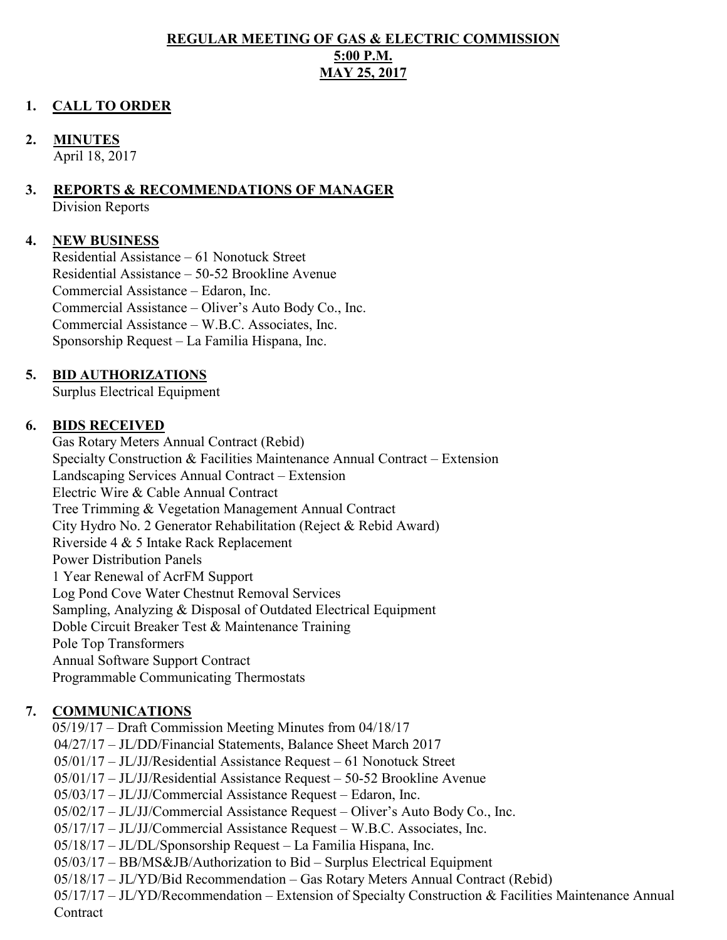#### **REGULAR MEETING OF GAS & ELECTRIC COMMISSION 5:00 P.M. MAY 25, 2017**

### **1. CALL TO ORDER**

#### **2. MINUTES**

April 18, 2017

# **3. REPORTS & RECOMMENDATIONS OF MANAGER**

Division Reports

### **4. NEW BUSINESS**

Residential Assistance – 61 Nonotuck Street Residential Assistance – 50-52 Brookline Avenue Commercial Assistance – Edaron, Inc. Commercial Assistance – Oliver's Auto Body Co., Inc. Commercial Assistance – W.B.C. Associates, Inc. Sponsorship Request – La Familia Hispana, Inc.

### **5. BID AUTHORIZATIONS**

Surplus Electrical Equipment

#### **6. BIDS RECEIVED**

Gas Rotary Meters Annual Contract (Rebid) Specialty Construction & Facilities Maintenance Annual Contract – Extension Landscaping Services Annual Contract – Extension Electric Wire & Cable Annual Contract Tree Trimming & Vegetation Management Annual Contract City Hydro No. 2 Generator Rehabilitation (Reject & Rebid Award) Riverside 4 & 5 Intake Rack Replacement Power Distribution Panels 1 Year Renewal of AcrFM Support Log Pond Cove Water Chestnut Removal Services Sampling, Analyzing & Disposal of Outdated Electrical Equipment Doble Circuit Breaker Test & Maintenance Training Pole Top Transformers Annual Software Support Contract Programmable Communicating Thermostats

# **7. COMMUNICATIONS**

05/19/17 – Draft Commission Meeting Minutes from 04/18/17 04/27/17 – JL/DD/Financial Statements, Balance Sheet March 2017 05/01/17 – JL/JJ/Residential Assistance Request – 61 Nonotuck Street 05/01/17 – JL/JJ/Residential Assistance Request – 50-52 Brookline Avenue 05/03/17 – JL/JJ/Commercial Assistance Request – Edaron, Inc. 05/02/17 – JL/JJ/Commercial Assistance Request – Oliver's Auto Body Co., Inc. 05/17/17 – JL/JJ/Commercial Assistance Request – W.B.C. Associates, Inc. 05/18/17 – JL/DL/Sponsorship Request – La Familia Hispana, Inc. 05/03/17 – BB/MS&JB/Authorization to Bid – Surplus Electrical Equipment 05/18/17 – JL/YD/Bid Recommendation – Gas Rotary Meters Annual Contract (Rebid) 05/17/17 – JL/YD/Recommendation – Extension of Specialty Construction & Facilities Maintenance Annual **Contract**